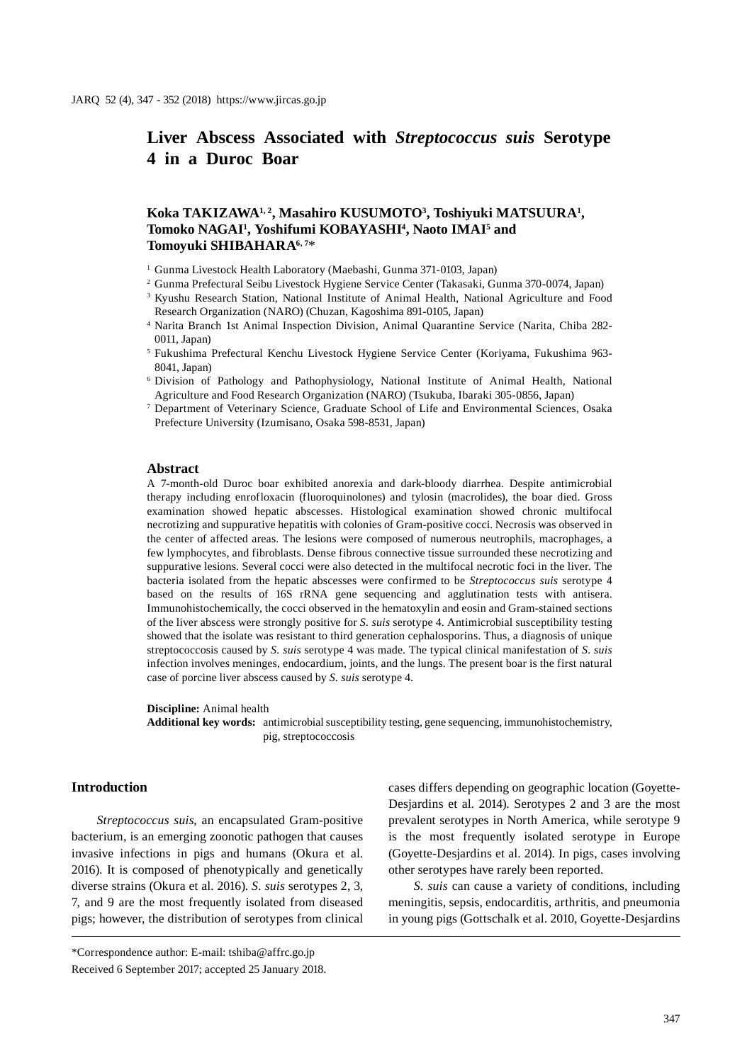# **Liver Abscess Associated with** *Streptococcus suis* **Serotype 4 in a Duroc Boar**

# Koka TAKIZAWA<sup>1,2</sup>, Masahiro KUSUMOTO<sup>3</sup>, Toshiyuki MATSUURA<sup>1</sup>, Tomoko NAGAI<sup>1</sup>, Yoshifumi KOBAYASHI<sup>4</sup>, Naoto IMAI<sup>5</sup> and **Tomoyuki SHIBAHARA6, 7**\*

<sup>1</sup> Gunma Livestock Health Laboratory (Maebashi, Gunma 371-0103, Japan)

<sup>2</sup> Gunma Prefectural Seibu Livestock Hygiene Service Center (Takasaki, Gunma 370-0074, Japan)

<sup>3</sup> Kyushu Research Station, National Institute of Animal Health, National Agriculture and Food Research Organization (NARO) (Chuzan, Kagoshima 891-0105, Japan)

- <sup>4</sup> Narita Branch 1st Animal Inspection Division, Animal Quarantine Service (Narita, Chiba 282- 0011, Japan)
- <sup>5</sup> Fukushima Prefectural Kenchu Livestock Hygiene Service Center (Koriyama, Fukushima 963- 8041, Japan)
- <sup>6</sup> Division of Pathology and Pathophysiology, National Institute of Animal Health, National Agriculture and Food Research Organization (NARO) (Tsukuba, Ibaraki 305-0856, Japan)

<sup>7</sup> Department of Veterinary Science, Graduate School of Life and Environmental Sciences, Osaka Prefecture University (Izumisano, Osaka 598-8531, Japan)

#### **Abstract**

A 7-month-old Duroc boar exhibited anorexia and dark-bloody diarrhea. Despite antimicrobial therapy including enrofloxacin (fluoroquinolones) and tylosin (macrolides), the boar died. Gross examination showed hepatic abscesses. Histological examination showed chronic multifocal necrotizing and suppurative hepatitis with colonies of Gram-positive cocci. Necrosis was observed in the center of affected areas. The lesions were composed of numerous neutrophils, macrophages, a few lymphocytes, and fibroblasts. Dense fibrous connective tissue surrounded these necrotizing and suppurative lesions. Several cocci were also detected in the multifocal necrotic foci in the liver. The bacteria isolated from the hepatic abscesses were confirmed to be *Streptococcus suis* serotype 4 based on the results of 16S rRNA gene sequencing and agglutination tests with antisera. Immunohistochemically, the cocci observed in the hematoxylin and eosin and Gram-stained sections of the liver abscess were strongly positive for *S. suis* serotype 4. Antimicrobial susceptibility testing showed that the isolate was resistant to third generation cephalosporins. Thus, a diagnosis of unique streptococcosis caused by *S. suis* serotype 4 was made. The typical clinical manifestation of *S. suis* infection involves meninges, endocardium, joints, and the lungs. The present boar is the first natural case of porcine liver abscess caused by *S. suis* serotype 4.

#### **Discipline:** Animal health

**Additional key words:** antimicrobial susceptibility testing, gene sequencing, immunohistochemistry, pig, streptococcosis

## **Introduction**

*Streptococcus suis*, an encapsulated Gram-positive bacterium, is an emerging zoonotic pathogen that causes invasive infections in pigs and humans (Okura et al. 2016). It is composed of phenotypically and genetically diverse strains (Okura et al. 2016). *S. suis* serotypes 2, 3, 7, and 9 are the most frequently isolated from diseased pigs; however, the distribution of serotypes from clinical cases differs depending on geographic location (Goyette-Desjardins et al. 2014). Serotypes 2 and 3 are the most prevalent serotypes in North America, while serotype 9 is the most frequently isolated serotype in Europe (Goyette-Desjardins et al. 2014). In pigs, cases involving other serotypes have rarely been reported.

*S. suis* can cause a variety of conditions, including meningitis, sepsis, endocarditis, arthritis, and pneumonia in young pigs (Gottschalk et al. 2010, Goyette-Desjardins

<sup>\*</sup>Correspondence author: E-mail: tshiba@affrc.go.jp Received 6 September 2017; accepted 25 January 2018.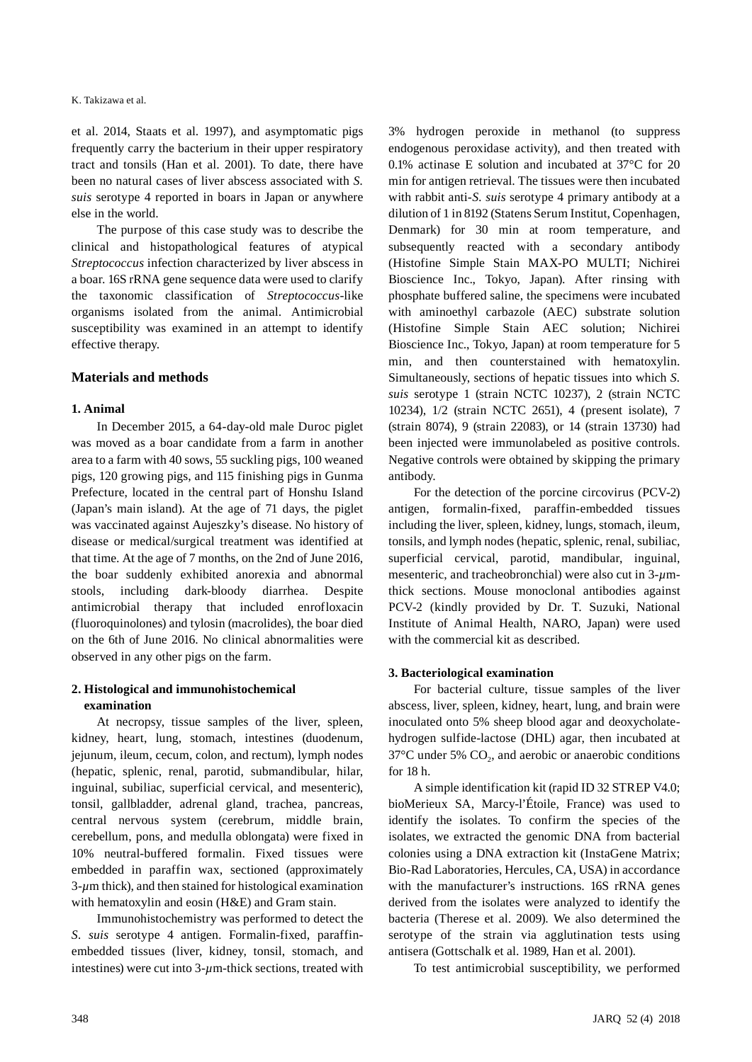et al. 2014, Staats et al. 1997), and asymptomatic pigs frequently carry the bacterium in their upper respiratory tract and tonsils (Han et al. 2001). To date, there have been no natural cases of liver abscess associated with *S. suis* serotype 4 reported in boars in Japan or anywhere else in the world.

The purpose of this case study was to describe the clinical and histopathological features of atypical *Streptococcus* infection characterized by liver abscess in a boar. 16S rRNA gene sequence data were used to clarify the taxonomic classification of *Streptococcus*-like organisms isolated from the animal. Antimicrobial susceptibility was examined in an attempt to identify effective therapy.

## **Materials and methods**

### **1. Animal**

In December 2015, a 64-day-old male Duroc piglet was moved as a boar candidate from a farm in another area to a farm with 40 sows, 55 suckling pigs, 100 weaned pigs, 120 growing pigs, and 115 finishing pigs in Gunma Prefecture, located in the central part of Honshu Island (Japan's main island). At the age of 71 days, the piglet was vaccinated against Aujeszky's disease. No history of disease or medical/surgical treatment was identified at that time. At the age of 7 months, on the 2nd of June 2016, the boar suddenly exhibited anorexia and abnormal stools, including dark-bloody diarrhea. Despite antimicrobial therapy that included enrofloxacin (fluoroquinolones) and tylosin (macrolides), the boar died on the 6th of June 2016. No clinical abnormalities were observed in any other pigs on the farm.

## **2. Histological and immunohistochemical examination**

At necropsy, tissue samples of the liver, spleen, kidney, heart, lung, stomach, intestines (duodenum, jejunum, ileum, cecum, colon, and rectum), lymph nodes (hepatic, splenic, renal, parotid, submandibular, hilar, inguinal, subiliac, superficial cervical, and mesenteric), tonsil, gallbladder, adrenal gland, trachea, pancreas, central nervous system (cerebrum, middle brain, cerebellum, pons, and medulla oblongata) were fixed in 10% neutral-buffered formalin. Fixed tissues were embedded in paraffin wax, sectioned (approximately 3-*µ*m thick), and then stained for histological examination with hematoxylin and eosin (H&E) and Gram stain.

Immunohistochemistry was performed to detect the *S. suis* serotype 4 antigen. Formalin-fixed, paraffinembedded tissues (liver, kidney, tonsil, stomach, and intestines) were cut into 3-*µ*m-thick sections, treated with 3% hydrogen peroxide in methanol (to suppress endogenous peroxidase activity), and then treated with 0.1% actinase E solution and incubated at 37°C for 20 min for antigen retrieval. The tissues were then incubated with rabbit anti-*S. suis* serotype 4 primary antibody at a dilution of 1 in 8192 (Statens Serum Institut, Copenhagen, Denmark) for 30 min at room temperature, and subsequently reacted with a secondary antibody (Histofine Simple Stain MAX-PO MULTI; Nichirei Bioscience Inc., Tokyo, Japan). After rinsing with phosphate buffered saline, the specimens were incubated with aminoethyl carbazole (AEC) substrate solution (Histofine Simple Stain AEC solution; Nichirei Bioscience Inc., Tokyo, Japan) at room temperature for 5 min, and then counterstained with hematoxylin. Simultaneously, sections of hepatic tissues into which *S. suis* serotype 1 (strain NCTC 10237), 2 (strain NCTC 10234), 1/2 (strain NCTC 2651), 4 (present isolate), 7 (strain 8074), 9 (strain 22083), or 14 (strain 13730) had been injected were immunolabeled as positive controls. Negative controls were obtained by skipping the primary antibody.

For the detection of the porcine circovirus (PCV-2) antigen, formalin-fixed, paraffin-embedded tissues including the liver, spleen, kidney, lungs, stomach, ileum, tonsils, and lymph nodes (hepatic, splenic, renal, subiliac, superficial cervical, parotid, mandibular, inguinal, mesenteric, and tracheobronchial) were also cut in 3-*µ*mthick sections. Mouse monoclonal antibodies against PCV-2 (kindly provided by Dr. T. Suzuki, National Institute of Animal Health, NARO, Japan) were used with the commercial kit as described.

## **3. Bacteriological examination**

For bacterial culture, tissue samples of the liver abscess, liver, spleen, kidney, heart, lung, and brain were inoculated onto 5% sheep blood agar and deoxycholatehydrogen sulfide-lactose (DHL) agar, then incubated at  $37^{\circ}$ C under 5% CO<sub>2</sub>, and aerobic or anaerobic conditions for 18 h.

A simple identification kit (rapid ID 32 STREP V4.0; bioMerieux SA, Marcy-l'Étoile, France) was used to identify the isolates. To confirm the species of the isolates, we extracted the genomic DNA from bacterial colonies using a DNA extraction kit (InstaGene Matrix; Bio-Rad Laboratories, Hercules, CA, USA) in accordance with the manufacturer's instructions. 16S rRNA genes derived from the isolates were analyzed to identify the bacteria (Therese et al. 2009). We also determined the serotype of the strain via agglutination tests using antisera (Gottschalk et al. 1989, Han et al. 2001).

To test antimicrobial susceptibility, we performed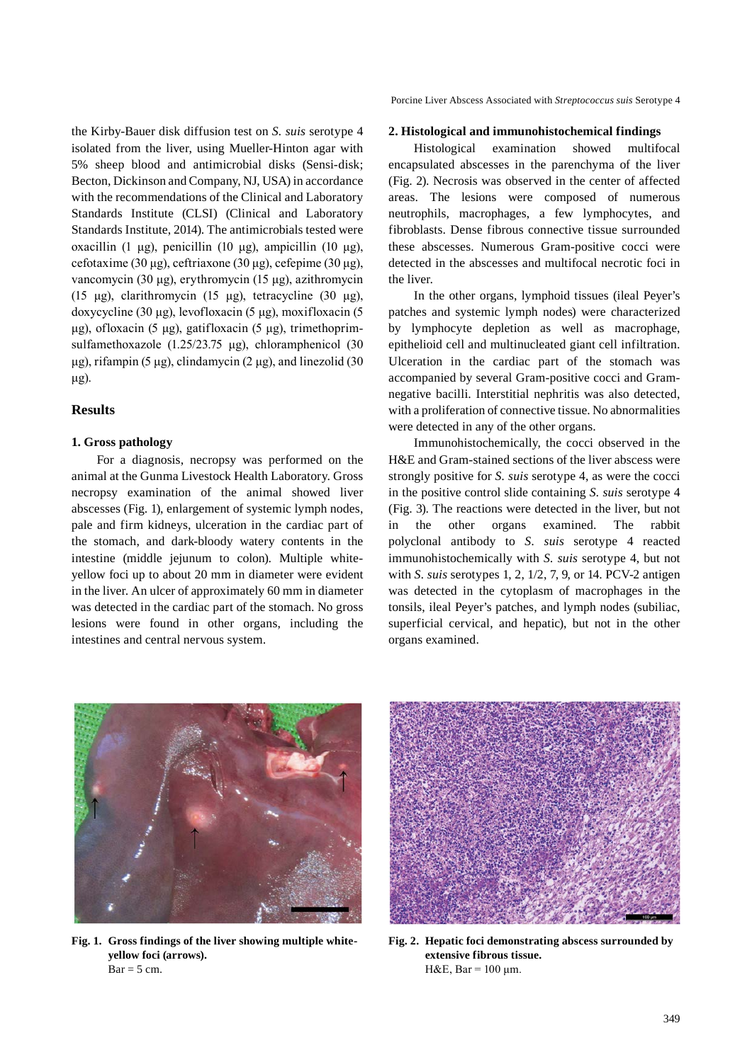the Kirby-Bauer disk diffusion test on *S. suis* serotype 4 isolated from the liver, using Mueller-Hinton agar with 5% sheep blood and antimicrobial disks (Sensi-disk; Becton, Dickinson and Company, NJ, USA) in accordance with the recommendations of the Clinical and Laboratory Standards Institute (CLSI) (Clinical and Laboratory Standards Institute, 2014). The antimicrobials tested were oxacillin (1 μg), penicillin (10 μg), ampicillin (10 μg), cefotaxime (30 μg), ceftriaxone (30 μg), cefepime (30 μg), vancomycin (30 μg), erythromycin (15 μg), azithromycin (15 μg), clarithromycin (15 μg), tetracycline (30 μg), doxycycline (30 μg), levofloxacin (5 μg), moxifloxacin (5 μg), ofloxacin (5 μg), gatifloxacin (5 μg), trimethoprimsulfamethoxazole (1.25/23.75 μg), chloramphenicol (30 μg), rifampin (5 μg), clindamycin (2 μg), and linezolid (30 μg).

#### **Results**

#### **1. Gross pathology**

For a diagnosis, necropsy was performed on the animal at the Gunma Livestock Health Laboratory. Gross necropsy examination of the animal showed liver abscesses (Fig. 1), enlargement of systemic lymph nodes, pale and firm kidneys, ulceration in the cardiac part of the stomach, and dark-bloody watery contents in the intestine (middle jejunum to colon). Multiple whiteyellow foci up to about 20 mm in diameter were evident in the liver. An ulcer of approximately 60 mm in diameter was detected in the cardiac part of the stomach. No gross lesions were found in other organs, including the intestines and central nervous system.

Porcine Liver Abscess Associated with *Streptococcus suis* Serotype 4

#### **2. Histological and immunohistochemical findings**

Histological examination showed multifocal encapsulated abscesses in the parenchyma of the liver (Fig. 2). Necrosis was observed in the center of affected areas. The lesions were composed of numerous neutrophils, macrophages, a few lymphocytes, and fibroblasts. Dense fibrous connective tissue surrounded these abscesses. Numerous Gram-positive cocci were detected in the abscesses and multifocal necrotic foci in the liver.

In the other organs, lymphoid tissues (ileal Peyer's patches and systemic lymph nodes) were characterized by lymphocyte depletion as well as macrophage, epithelioid cell and multinucleated giant cell infiltration. Ulceration in the cardiac part of the stomach was accompanied by several Gram-positive cocci and Gramnegative bacilli. Interstitial nephritis was also detected, with a proliferation of connective tissue. No abnormalities were detected in any of the other organs.

Immunohistochemically, the cocci observed in the H&E and Gram-stained sections of the liver abscess were strongly positive for *S. suis* serotype 4, as were the cocci in the positive control slide containing *S. suis* serotype 4 (Fig. 3). The reactions were detected in the liver, but not in the other organs examined. The rabbit polyclonal antibody to *S. suis* serotype 4 reacted immunohistochemically with *S. suis* serotype 4, but not with *S. suis* serotypes 1, 2, 1/2, 7, 9, or 14. PCV-2 antigen was detected in the cytoplasm of macrophages in the tonsils, ileal Peyer's patches, and lymph nodes (subiliac, superficial cervical, and hepatic), but not in the other organs examined.



**Fig. 1. Gross findings of the liver showing multiple whiteyellow foci (arrows).**   $Bar = 5$  cm.



**Fig. 2. Hepatic foci demonstrating abscess surrounded by extensive fibrous tissue.**  H&E, Bar =  $100 \mu$ m.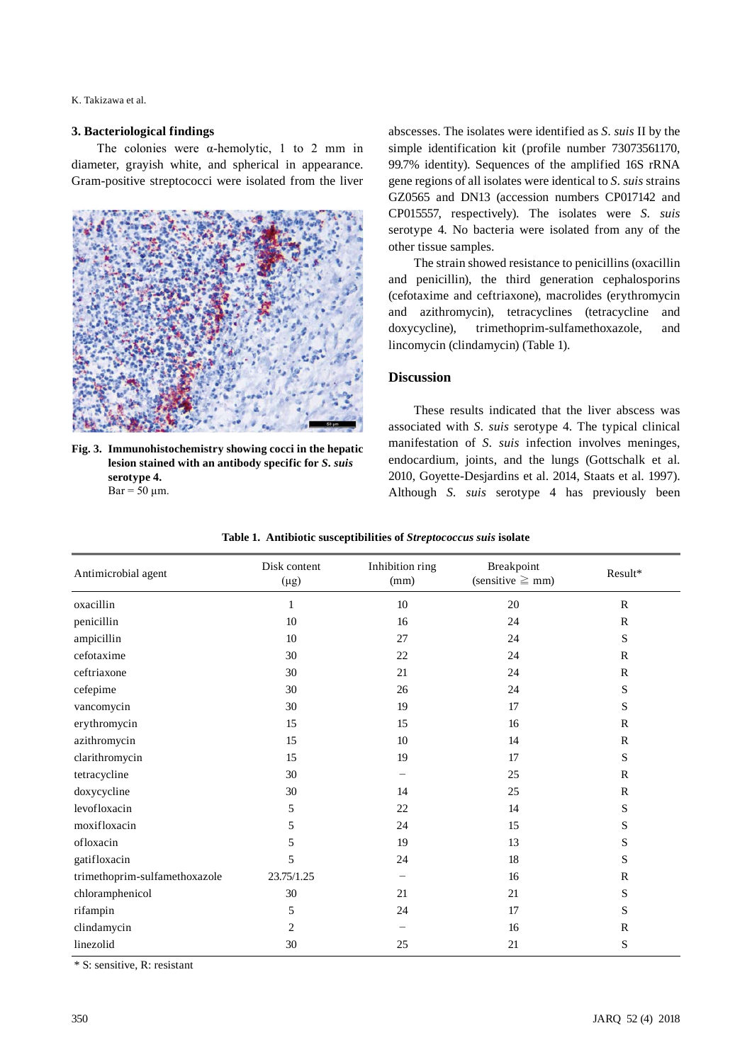K. Takizawa et al.

#### **3. Bacteriological findings**

The colonies were  $\alpha$ -hemolytic, 1 to 2 mm in diameter, grayish white, and spherical in appearance. Gram-positive streptococci were isolated from the liver



**Fig. 3. Immunohistochemistry showing cocci in the hepatic lesion stained with an antibody specific for** *S. suis*  **serotype 4.**   $Bar = 50 \mu m$ .

abscesses. The isolates were identified as *S. suis* II by the simple identification kit (profile number 73073561170, 99.7% identity). Sequences of the amplified 16S rRNA gene regions of all isolates were identical to *S. suis* strains GZ0565 and DN13 (accession numbers CP017142 and CP015557, respectively). The isolates were *S. suis* serotype 4. No bacteria were isolated from any of the other tissue samples.

The strain showed resistance to penicillins (oxacillin and penicillin), the third generation cephalosporins (cefotaxime and ceftriaxone), macrolides (erythromycin and azithromycin), tetracyclines (tetracycline and doxycycline), trimethoprim-sulfamethoxazole, and lincomycin (clindamycin) (Table 1).

# **Discussion**

These results indicated that the liver abscess was associated with *S. suis* serotype 4. The typical clinical manifestation of *S. suis* infection involves meninges, endocardium, joints, and the lungs (Gottschalk et al. 2010, Goyette-Desjardins et al. 2014, Staats et al. 1997). Although *S. suis* serotype 4 has previously been

| Antimicrobial agent           | Disk content<br>$(\mu g)$ | Inhibition ring<br>(mm) | Breakpoint<br>(sensitive $\geq$ mm) | Result*      |
|-------------------------------|---------------------------|-------------------------|-------------------------------------|--------------|
| oxacillin                     | $\mathbf{1}$              | 10                      | 20                                  | $\mathbb{R}$ |
| penicillin                    | 10                        | 16                      | 24                                  | $\mathbb{R}$ |
| ampicillin                    | 10                        | 27                      | 24                                  | S            |
| cefotaxime                    | 30                        | 22                      | 24                                  | $\mathbb{R}$ |
| ceftriaxone                   | 30                        | 21                      | 24                                  | $\mathbb{R}$ |
| cefepime                      | 30                        | 26                      | 24                                  | S            |
| vancomycin                    | 30                        | 19                      | 17                                  | S            |
| erythromycin                  | 15                        | 15                      | 16                                  | $\mathbb{R}$ |
| azithromycin                  | 15                        | 10                      | 14                                  | $\mathbb{R}$ |
| clarithromycin                | 15                        | 19                      | 17                                  | S            |
| tetracycline                  | 30                        |                         | 25                                  | $\mathbf R$  |
| doxycycline                   | 30                        | 14                      | 25                                  | $\mathbb{R}$ |
| levofloxacin                  | 5                         | 22                      | 14                                  | S            |
| moxifloxacin                  | 5                         | 24                      | 15                                  | S            |
| ofloxacin                     | 5                         | 19                      | 13                                  | S            |
| gatifloxacin                  | 5                         | 24                      | 18                                  | S            |
| trimethoprim-sulfamethoxazole | 23.75/1.25                |                         | 16                                  | $\mathbb{R}$ |
| chloramphenicol               | 30                        | 21                      | 21                                  | S            |
| rifampin                      | 5                         | 24                      | 17                                  | S            |
| clindamycin                   | 2                         |                         | 16                                  | $\mathbb{R}$ |
| linezolid                     | 30                        | 25                      | 21                                  | S            |

\* S: sensitive, R: resistant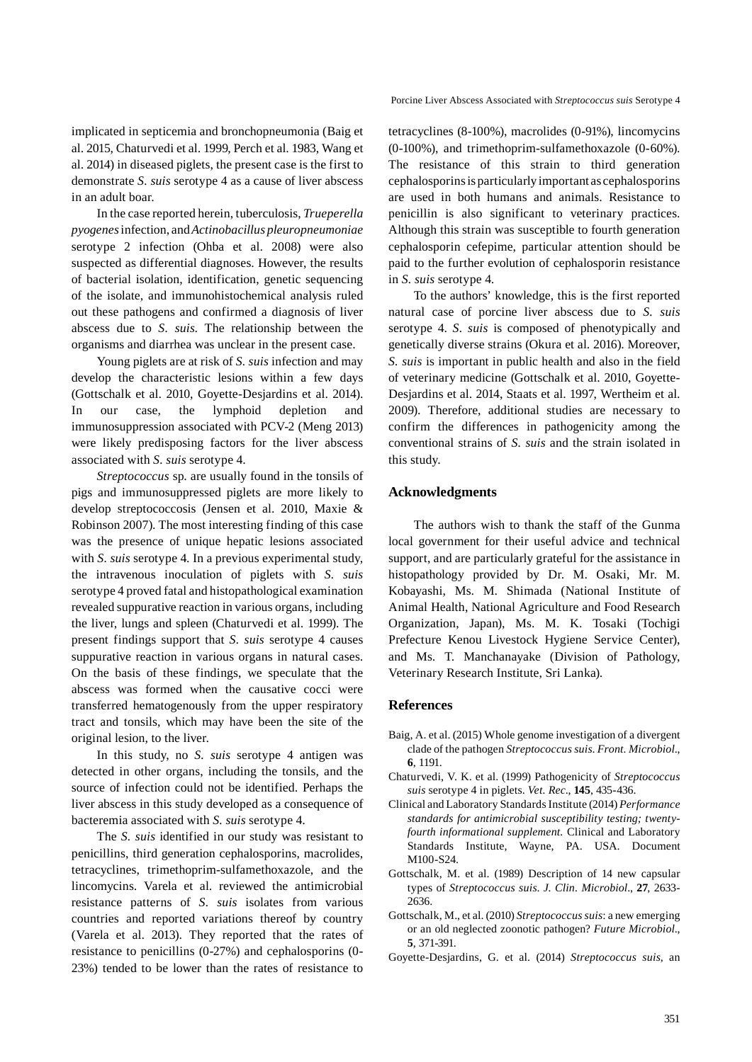implicated in septicemia and bronchopneumonia (Baig et al. 2015, Chaturvedi et al. 1999, Perch et al. 1983, Wang et al. 2014) in diseased piglets, the present case is the first to demonstrate *S. suis* serotype 4 as a cause of liver abscess in an adult boar.

In the case reported herein, tuberculosis, *Trueperella pyogenes* infection, and *Actinobacillus pleuropneumoniae*  serotype 2 infection (Ohba et al. 2008) were also suspected as differential diagnoses. However, the results of bacterial isolation, identification, genetic sequencing of the isolate, and immunohistochemical analysis ruled out these pathogens and confirmed a diagnosis of liver abscess due to *S. suis*. The relationship between the organisms and diarrhea was unclear in the present case.

Young piglets are at risk of *S. suis* infection and may develop the characteristic lesions within a few days (Gottschalk et al. 2010, Goyette-Desjardins et al. 2014). In our case, the lymphoid depletion and immunosuppression associated with PCV-2 (Meng 2013) were likely predisposing factors for the liver abscess associated with *S. suis* serotype 4.

*Streptococcus* sp. are usually found in the tonsils of pigs and immunosuppressed piglets are more likely to develop streptococcosis (Jensen et al. 2010, Maxie & Robinson 2007). The most interesting finding of this case was the presence of unique hepatic lesions associated with *S. suis* serotype 4. In a previous experimental study, the intravenous inoculation of piglets with *S. suis* serotype 4 proved fatal and histopathological examination revealed suppurative reaction in various organs, including the liver, lungs and spleen (Chaturvedi et al. 1999). The present findings support that *S. suis* serotype 4 causes suppurative reaction in various organs in natural cases. On the basis of these findings, we speculate that the abscess was formed when the causative cocci were transferred hematogenously from the upper respiratory tract and tonsils, which may have been the site of the original lesion, to the liver.

In this study, no *S. suis* serotype 4 antigen was detected in other organs, including the tonsils, and the source of infection could not be identified. Perhaps the liver abscess in this study developed as a consequence of bacteremia associated with *S. suis* serotype 4.

The *S. suis* identified in our study was resistant to penicillins, third generation cephalosporins, macrolides, tetracyclines, trimethoprim-sulfamethoxazole, and the lincomycins. Varela et al. reviewed the antimicrobial resistance patterns of *S. suis* isolates from various countries and reported variations thereof by country (Varela et al. 2013). They reported that the rates of resistance to penicillins (0-27%) and cephalosporins (0- 23%) tended to be lower than the rates of resistance to

tetracyclines (8-100%), macrolides (0-91%), lincomycins (0-100%), and trimethoprim-sulfamethoxazole (0-60%). The resistance of this strain to third generation cephalosporins is particularly important as cephalosporins are used in both humans and animals. Resistance to penicillin is also significant to veterinary practices. Although this strain was susceptible to fourth generation cephalosporin cefepime, particular attention should be paid to the further evolution of cephalosporin resistance in *S. suis* serotype 4.

To the authors' knowledge, this is the first reported natural case of porcine liver abscess due to *S. suis* serotype 4. *S. suis* is composed of phenotypically and genetically diverse strains (Okura et al. 2016). Moreover, *S. suis* is important in public health and also in the field of veterinary medicine (Gottschalk et al. 2010, Goyette-Desjardins et al. 2014, Staats et al. 1997, Wertheim et al. 2009). Therefore, additional studies are necessary to confirm the differences in pathogenicity among the conventional strains of *S. suis* and the strain isolated in this study.

## **Acknowledgments**

The authors wish to thank the staff of the Gunma local government for their useful advice and technical support, and are particularly grateful for the assistance in histopathology provided by Dr. M. Osaki, Mr. M. Kobayashi, Ms. M. Shimada (National Institute of Animal Health, National Agriculture and Food Research Organization, Japan), Ms. M. K. Tosaki (Tochigi Prefecture Kenou Livestock Hygiene Service Center), and Ms. T. Manchanayake (Division of Pathology, Veterinary Research Institute, Sri Lanka).

#### **References**

- Baig, A. et al. (2015) Whole genome investigation of a divergent clade of the pathogen *Streptococcus suis*. *Front. Microbiol*., **6**, 1191.
- Chaturvedi, V. K. et al. (1999) Pathogenicity of *Streptococcus suis* serotype 4 in piglets. *Vet. Rec*., **145**, 435-436.
- Clinical and Laboratory Standards Institute (2014) *Performance standards for antimicrobial susceptibility testing; twentyfourth informational supplement.* Clinical and Laboratory Standards Institute, Wayne, PA. USA. Document M100-S24.
- Gottschalk, M. et al. (1989) Description of 14 new capsular types of *Streptococcus suis*. *J. Clin. Microbiol*., **27**, 2633- 2636.
- Gottschalk, M., et al. (2010) *Streptococcus suis*: a new emerging or an old neglected zoonotic pathogen? *Future Microbiol*., **5**, 371-391.
- Goyette-Desjardins, G. et al. (2014) *Streptococcus suis*, an